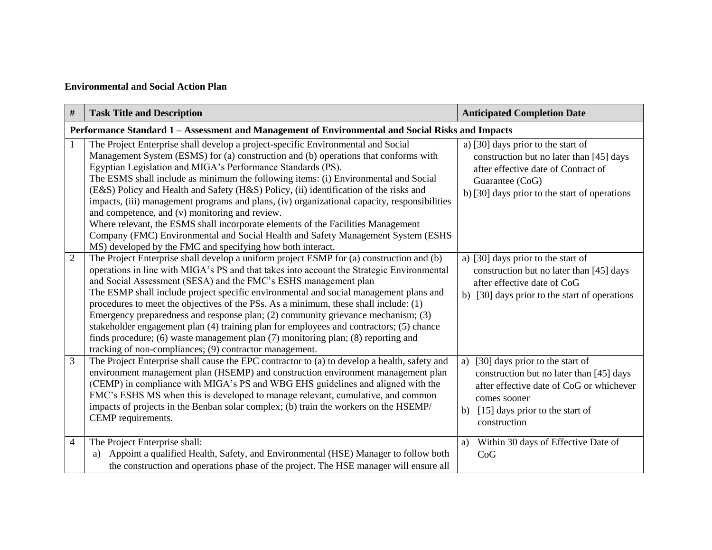## **Environmental and Social Action Plan**

| #              | <b>Task Title and Description</b>                                                                                                                                                                                                                                                                                                                                                                                                                                                                                                                                                                                                                                                                                                                                                                              | <b>Anticipated Completion Date</b>                                                                                                                                                                    |  |  |  |
|----------------|----------------------------------------------------------------------------------------------------------------------------------------------------------------------------------------------------------------------------------------------------------------------------------------------------------------------------------------------------------------------------------------------------------------------------------------------------------------------------------------------------------------------------------------------------------------------------------------------------------------------------------------------------------------------------------------------------------------------------------------------------------------------------------------------------------------|-------------------------------------------------------------------------------------------------------------------------------------------------------------------------------------------------------|--|--|--|
|                | Performance Standard 1 - Assessment and Management of Environmental and Social Risks and Impacts                                                                                                                                                                                                                                                                                                                                                                                                                                                                                                                                                                                                                                                                                                               |                                                                                                                                                                                                       |  |  |  |
| $\mathbf{1}$   | The Project Enterprise shall develop a project-specific Environmental and Social<br>Management System (ESMS) for (a) construction and (b) operations that conforms with<br>Egyptian Legislation and MIGA's Performance Standards (PS).<br>The ESMS shall include as minimum the following items: (i) Environmental and Social<br>(E&S) Policy and Health and Safety (H&S) Policy, (ii) identification of the risks and<br>impacts, (iii) management programs and plans, (iv) organizational capacity, responsibilities<br>and competence, and (v) monitoring and review.<br>Where relevant, the ESMS shall incorporate elements of the Facilities Management<br>Company (FMC) Environmental and Social Health and Safety Management System (ESHS<br>MS) developed by the FMC and specifying how both interact. | a) [30] days prior to the start of<br>construction but no later than [45] days<br>after effective date of Contract of<br>Guarantee (CoG)<br>b) [30] days prior to the start of operations             |  |  |  |
| $\overline{2}$ | The Project Enterprise shall develop a uniform project ESMP for (a) construction and (b)<br>operations in line with MIGA's PS and that takes into account the Strategic Environmental<br>and Social Assessment (SESA) and the FMC's ESHS management plan<br>The ESMP shall include project specific environmental and social management plans and<br>procedures to meet the objectives of the PSs. As a minimum, these shall include: (1)<br>Emergency preparedness and response plan; (2) community grievance mechanism; (3)<br>stakeholder engagement plan (4) training plan for employees and contractors; (5) chance<br>finds procedure; (6) waste management plan (7) monitoring plan; (8) reporting and<br>tracking of non-compliances; (9) contractor management.                                       | a) [30] days prior to the start of<br>construction but no later than [45] days<br>after effective date of CoG<br>b) [30] days prior to the start of operations                                        |  |  |  |
| 3              | The Project Enterprise shall cause the EPC contractor to (a) to develop a health, safety and<br>environment management plan (HSEMP) and construction environment management plan<br>(CEMP) in compliance with MIGA's PS and WBG EHS guidelines and aligned with the<br>FMC's ESHS MS when this is developed to manage relevant, cumulative, and common<br>impacts of projects in the Benban solar complex; (b) train the workers on the HSEMP/<br>CEMP requirements.                                                                                                                                                                                                                                                                                                                                           | [30] days prior to the start of<br>a)<br>construction but no later than [45] days<br>after effective date of CoG or whichever<br>comes sooner<br>b) $[15]$ days prior to the start of<br>construction |  |  |  |
| $\overline{4}$ | The Project Enterprise shall:<br>Appoint a qualified Health, Safety, and Environmental (HSE) Manager to follow both<br>a)<br>the construction and operations phase of the project. The HSE manager will ensure all                                                                                                                                                                                                                                                                                                                                                                                                                                                                                                                                                                                             | Within 30 days of Effective Date of<br>a)<br>CoG                                                                                                                                                      |  |  |  |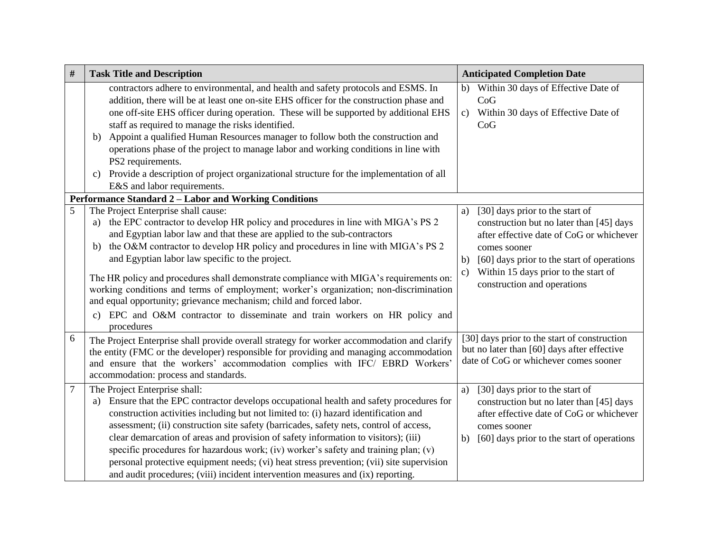| $\#$           | <b>Task Title and Description</b>                                                                                                                                                                                                                                                                                                                                                                                                                                                                                                                                                                                                                                                                           | <b>Anticipated Completion Date</b>                                                                                                                                                                                                                                                        |
|----------------|-------------------------------------------------------------------------------------------------------------------------------------------------------------------------------------------------------------------------------------------------------------------------------------------------------------------------------------------------------------------------------------------------------------------------------------------------------------------------------------------------------------------------------------------------------------------------------------------------------------------------------------------------------------------------------------------------------------|-------------------------------------------------------------------------------------------------------------------------------------------------------------------------------------------------------------------------------------------------------------------------------------------|
|                | contractors adhere to environmental, and health and safety protocols and ESMS. In<br>addition, there will be at least one on-site EHS officer for the construction phase and<br>one off-site EHS officer during operation. These will be supported by additional EHS<br>staff as required to manage the risks identified.<br>Appoint a qualified Human Resources manager to follow both the construction and<br>b)<br>operations phase of the project to manage labor and working conditions in line with<br>PS2 requirements.<br>Provide a description of project organizational structure for the implementation of all<br>c)<br>E&S and labor requirements.                                              | b) Within 30 days of Effective Date of<br>CoG<br>c) Within 30 days of Effective Date of<br>CoG                                                                                                                                                                                            |
|                | Performance Standard 2 - Labor and Working Conditions                                                                                                                                                                                                                                                                                                                                                                                                                                                                                                                                                                                                                                                       |                                                                                                                                                                                                                                                                                           |
| 5              | The Project Enterprise shall cause:<br>the EPC contractor to develop HR policy and procedures in line with MIGA's PS 2<br>a)<br>and Egyptian labor law and that these are applied to the sub-contractors<br>the O&M contractor to develop HR policy and procedures in line with MIGA's PS 2<br>b)<br>and Egyptian labor law specific to the project.<br>The HR policy and procedures shall demonstrate compliance with MIGA's requirements on:<br>working conditions and terms of employment; worker's organization; non-discrimination<br>and equal opportunity; grievance mechanism; child and forced labor.<br>c) EPC and O&M contractor to disseminate and train workers on HR policy and<br>procedures | [30] days prior to the start of<br>a)<br>construction but no later than [45] days<br>after effective date of CoG or whichever<br>comes sooner<br>[60] days prior to the start of operations<br>b)<br>Within 15 days prior to the start of<br>$\mathbf{c})$<br>construction and operations |
| 6              | The Project Enterprise shall provide overall strategy for worker accommodation and clarify<br>the entity (FMC or the developer) responsible for providing and managing accommodation<br>and ensure that the workers' accommodation complies with IFC/ EBRD Workers'<br>accommodation: process and standards.                                                                                                                                                                                                                                                                                                                                                                                                | [30] days prior to the start of construction<br>but no later than [60] days after effective<br>date of CoG or whichever comes sooner                                                                                                                                                      |
| $\overline{7}$ | The Project Enterprise shall:<br>Ensure that the EPC contractor develops occupational health and safety procedures for<br>a)<br>construction activities including but not limited to: (i) hazard identification and<br>assessment; (ii) construction site safety (barricades, safety nets, control of access,<br>clear demarcation of areas and provision of safety information to visitors); (iii)<br>specific procedures for hazardous work; (iv) worker's safety and training plan; (v)<br>personal protective equipment needs; (vi) heat stress prevention; (vii) site supervision<br>and audit procedures; (viii) incident intervention measures and (ix) reporting.                                   | [30] days prior to the start of<br>a)<br>construction but no later than [45] days<br>after effective date of CoG or whichever<br>comes sooner<br>[60] days prior to the start of operations<br>b)                                                                                         |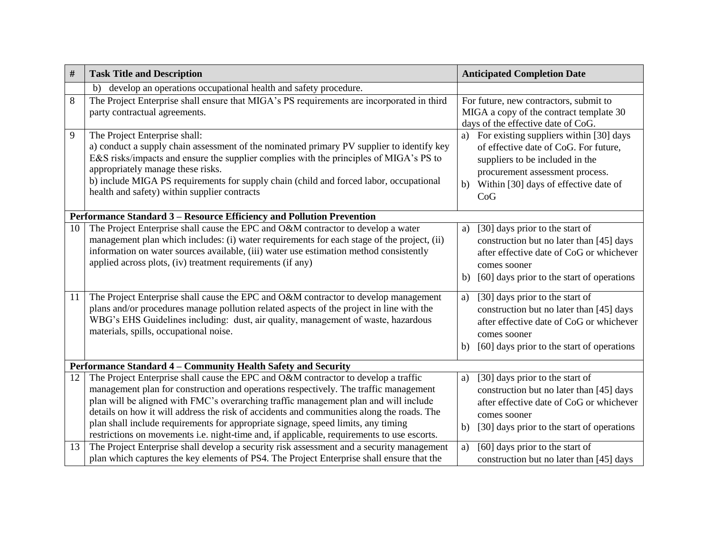| #                                                             | <b>Task Title and Description</b>                                                                                                                                                                                                                                                                                                                                                                                                                                                                                                                  | <b>Anticipated Completion Date</b>                                                                                                                                                                           |  |  |  |  |
|---------------------------------------------------------------|----------------------------------------------------------------------------------------------------------------------------------------------------------------------------------------------------------------------------------------------------------------------------------------------------------------------------------------------------------------------------------------------------------------------------------------------------------------------------------------------------------------------------------------------------|--------------------------------------------------------------------------------------------------------------------------------------------------------------------------------------------------------------|--|--|--|--|
|                                                               | develop an operations occupational health and safety procedure.<br>b)                                                                                                                                                                                                                                                                                                                                                                                                                                                                              |                                                                                                                                                                                                              |  |  |  |  |
| 8                                                             | The Project Enterprise shall ensure that MIGA's PS requirements are incorporated in third<br>party contractual agreements.                                                                                                                                                                                                                                                                                                                                                                                                                         | For future, new contractors, submit to<br>MIGA a copy of the contract template 30<br>days of the effective date of CoG.                                                                                      |  |  |  |  |
| 9                                                             | The Project Enterprise shall:<br>a) conduct a supply chain assessment of the nominated primary PV supplier to identify key<br>E&S risks/impacts and ensure the supplier complies with the principles of MIGA's PS to<br>appropriately manage these risks.<br>b) include MIGA PS requirements for supply chain (child and forced labor, occupational<br>health and safety) within supplier contracts                                                                                                                                                | a) For existing suppliers within [30] days<br>of effective date of CoG. For future,<br>suppliers to be included in the<br>procurement assessment process.<br>b) Within [30] days of effective date of<br>CoG |  |  |  |  |
|                                                               | Performance Standard 3 - Resource Efficiency and Pollution Prevention                                                                                                                                                                                                                                                                                                                                                                                                                                                                              |                                                                                                                                                                                                              |  |  |  |  |
| 10                                                            | The Project Enterprise shall cause the EPC and O&M contractor to develop a water<br>management plan which includes: (i) water requirements for each stage of the project, (ii)<br>information on water sources available, (iii) water use estimation method consistently<br>applied across plots, (iv) treatment requirements (if any)                                                                                                                                                                                                             | [30] days prior to the start of<br>a)<br>construction but no later than [45] days<br>after effective date of CoG or whichever<br>comes sooner<br>[60] days prior to the start of operations<br>b)            |  |  |  |  |
| 11                                                            | The Project Enterprise shall cause the EPC and O&M contractor to develop management<br>plans and/or procedures manage pollution related aspects of the project in line with the<br>WBG's EHS Guidelines including: dust, air quality, management of waste, hazardous<br>materials, spills, occupational noise.                                                                                                                                                                                                                                     | [30] days prior to the start of<br>a)<br>construction but no later than [45] days<br>after effective date of CoG or whichever<br>comes sooner<br>[60] days prior to the start of operations<br>b)            |  |  |  |  |
| Performance Standard 4 - Community Health Safety and Security |                                                                                                                                                                                                                                                                                                                                                                                                                                                                                                                                                    |                                                                                                                                                                                                              |  |  |  |  |
| 12                                                            | The Project Enterprise shall cause the EPC and O&M contractor to develop a traffic<br>management plan for construction and operations respectively. The traffic management<br>plan will be aligned with FMC's overarching traffic management plan and will include<br>details on how it will address the risk of accidents and communities along the roads. The<br>plan shall include requirements for appropriate signage, speed limits, any timing<br>restrictions on movements i.e. night-time and, if applicable, requirements to use escorts. | [30] days prior to the start of<br>a)<br>construction but no later than [45] days<br>after effective date of CoG or whichever<br>comes sooner<br>[30] days prior to the start of operations<br>b)            |  |  |  |  |
| 13                                                            | The Project Enterprise shall develop a security risk assessment and a security management<br>plan which captures the key elements of PS4. The Project Enterprise shall ensure that the                                                                                                                                                                                                                                                                                                                                                             | [60] days prior to the start of<br>a)<br>construction but no later than [45] days                                                                                                                            |  |  |  |  |